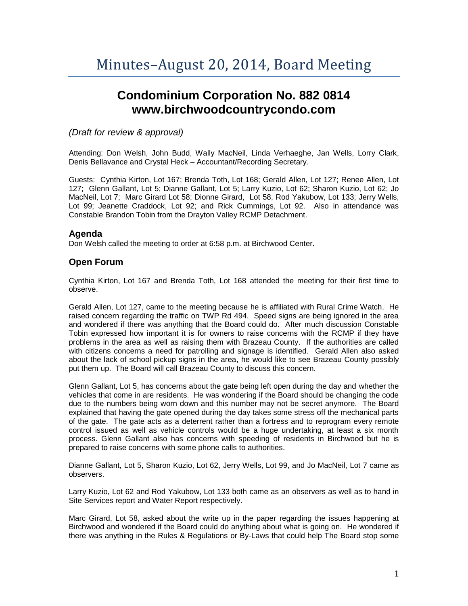# **Condominium Corporation No. 882 0814 www.birchwoodcountrycondo.com**

## *(Draft for review & approval)*

Attending: Don Welsh, John Budd, Wally MacNeil, Linda Verhaeghe, Jan Wells, Lorry Clark, Denis Bellavance and Crystal Heck – Accountant/Recording Secretary.

Guests: Cynthia Kirton, Lot 167; Brenda Toth, Lot 168; Gerald Allen, Lot 127; Renee Allen, Lot 127; Glenn Gallant, Lot 5; Dianne Gallant, Lot 5; Larry Kuzio, Lot 62; Sharon Kuzio, Lot 62; Jo MacNeil, Lot 7; Marc Girard Lot 58; Dionne Girard, Lot 58, Rod Yakubow, Lot 133; Jerry Wells, Lot 99; Jeanette Craddock, Lot 92; and Rick Cummings, Lot 92. Also in attendance was Constable Brandon Tobin from the Drayton Valley RCMP Detachment.

## **Agenda**

Don Welsh called the meeting to order at 6:58 p.m. at Birchwood Center.

# **Open Forum**

Cynthia Kirton, Lot 167 and Brenda Toth, Lot 168 attended the meeting for their first time to observe.

Gerald Allen, Lot 127, came to the meeting because he is affiliated with Rural Crime Watch. He raised concern regarding the traffic on TWP Rd 494. Speed signs are being ignored in the area and wondered if there was anything that the Board could do. After much discussion Constable Tobin expressed how important it is for owners to raise concerns with the RCMP if they have problems in the area as well as raising them with Brazeau County. If the authorities are called with citizens concerns a need for patrolling and signage is identified. Gerald Allen also asked about the lack of school pickup signs in the area, he would like to see Brazeau County possibly put them up. The Board will call Brazeau County to discuss this concern.

Glenn Gallant, Lot 5, has concerns about the gate being left open during the day and whether the vehicles that come in are residents. He was wondering if the Board should be changing the code due to the numbers being worn down and this number may not be secret anymore. The Board explained that having the gate opened during the day takes some stress off the mechanical parts of the gate. The gate acts as a deterrent rather than a fortress and to reprogram every remote control issued as well as vehicle controls would be a huge undertaking, at least a six month process. Glenn Gallant also has concerns with speeding of residents in Birchwood but he is prepared to raise concerns with some phone calls to authorities.

Dianne Gallant, Lot 5, Sharon Kuzio, Lot 62, Jerry Wells, Lot 99, and Jo MacNeil, Lot 7 came as observers.

Larry Kuzio, Lot 62 and Rod Yakubow, Lot 133 both came as an observers as well as to hand in Site Services report and Water Report respectively.

Marc Girard, Lot 58, asked about the write up in the paper regarding the issues happening at Birchwood and wondered if the Board could do anything about what is going on. He wondered if there was anything in the Rules & Regulations or By-Laws that could help The Board stop some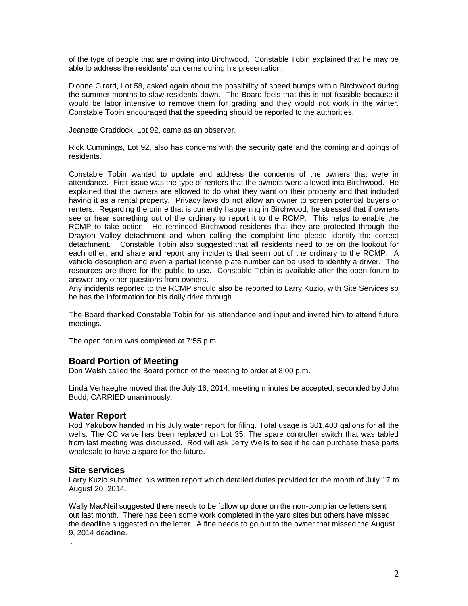of the type of people that are moving into Birchwood. Constable Tobin explained that he may be able to address the residents' concerns during his presentation.

Dionne Girard, Lot 58, asked again about the possibility of speed bumps within Birchwood during the summer months to slow residents down. The Board feels that this is not feasible because it would be labor intensive to remove them for grading and they would not work in the winter. Constable Tobin encouraged that the speeding should be reported to the authorities.

Jeanette Craddock, Lot 92, came as an observer.

Rick Cummings, Lot 92, also has concerns with the security gate and the coming and goings of residents.

Constable Tobin wanted to update and address the concerns of the owners that were in attendance. First issue was the type of renters that the owners were allowed into Birchwood. He explained that the owners are allowed to do what they want on their property and that included having it as a rental property. Privacy laws do not allow an owner to screen potential buyers or renters. Regarding the crime that is currently happening in Birchwood, he stressed that if owners see or hear something out of the ordinary to report it to the RCMP. This helps to enable the RCMP to take action. He reminded Birchwood residents that they are protected through the Drayton Valley detachment and when calling the complaint line please identify the correct detachment. Constable Tobin also suggested that all residents need to be on the lookout for each other, and share and report any incidents that seem out of the ordinary to the RCMP. A vehicle description and even a partial license plate number can be used to identify a driver. The resources are there for the public to use. Constable Tobin is available after the open forum to answer any other questions from owners.

Any incidents reported to the RCMP should also be reported to Larry Kuzio, with Site Services so he has the information for his daily drive through.

The Board thanked Constable Tobin for his attendance and input and invited him to attend future meetings.

The open forum was completed at 7:55 p.m.

### **Board Portion of Meeting**

Don Welsh called the Board portion of the meeting to order at 8:00 p.m.

Linda Verhaeghe moved that the July 16, 2014, meeting minutes be accepted, seconded by John Budd, CARRIED unanimously.

### **Water Report**

Rod Yakubow handed in his July water report for filing. Total usage is 301,400 gallons for all the wells. The CC valve has been replaced on Lot 35. The spare controller switch that was tabled from last meeting was discussed. Rod will ask Jerry Wells to see if he can purchase these parts wholesale to have a spare for the future.

#### **Site services**

.

Larry Kuzio submitted his written report which detailed duties provided for the month of July 17 to August 20, 2014.

Wally MacNeil suggested there needs to be follow up done on the non-compliance letters sent out last month. There has been some work completed in the yard sites but others have missed the deadline suggested on the letter. A fine needs to go out to the owner that missed the August 9, 2014 deadline.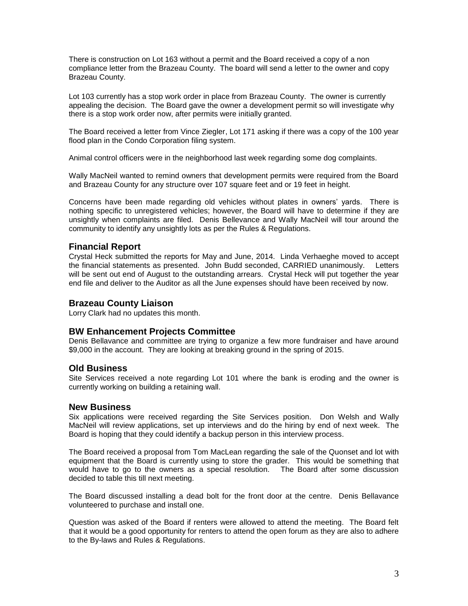There is construction on Lot 163 without a permit and the Board received a copy of a non compliance letter from the Brazeau County. The board will send a letter to the owner and copy Brazeau County.

Lot 103 currently has a stop work order in place from Brazeau County. The owner is currently appealing the decision. The Board gave the owner a development permit so will investigate why there is a stop work order now, after permits were initially granted.

The Board received a letter from Vince Ziegler, Lot 171 asking if there was a copy of the 100 year flood plan in the Condo Corporation filing system.

Animal control officers were in the neighborhood last week regarding some dog complaints.

Wally MacNeil wanted to remind owners that development permits were required from the Board and Brazeau County for any structure over 107 square feet and or 19 feet in height.

Concerns have been made regarding old vehicles without plates in owners' yards. There is nothing specific to unregistered vehicles; however, the Board will have to determine if they are unsightly when complaints are filed. Denis Bellevance and Wally MacNeil will tour around the community to identify any unsightly lots as per the Rules & Regulations.

## **Financial Report**

Crystal Heck submitted the reports for May and June, 2014. Linda Verhaeghe moved to accept the financial statements as presented. John Budd seconded, CARRIED unanimously. Letters will be sent out end of August to the outstanding arrears. Crystal Heck will put together the year end file and deliver to the Auditor as all the June expenses should have been received by now.

### **Brazeau County Liaison**

Lorry Clark had no updates this month.

### **BW Enhancement Projects Committee**

Denis Bellavance and committee are trying to organize a few more fundraiser and have around \$9,000 in the account. They are looking at breaking ground in the spring of 2015.

### **Old Business**

Site Services received a note regarding Lot 101 where the bank is eroding and the owner is currently working on building a retaining wall.

#### **New Business**

Six applications were received regarding the Site Services position. Don Welsh and Wally MacNeil will review applications, set up interviews and do the hiring by end of next week. The Board is hoping that they could identify a backup person in this interview process.

The Board received a proposal from Tom MacLean regarding the sale of the Quonset and lot with equipment that the Board is currently using to store the grader. This would be something that would have to go to the owners as a special resolution. The Board after some discussion decided to table this till next meeting.

The Board discussed installing a dead bolt for the front door at the centre. Denis Bellavance volunteered to purchase and install one.

Question was asked of the Board if renters were allowed to attend the meeting. The Board felt that it would be a good opportunity for renters to attend the open forum as they are also to adhere to the By-laws and Rules & Regulations.